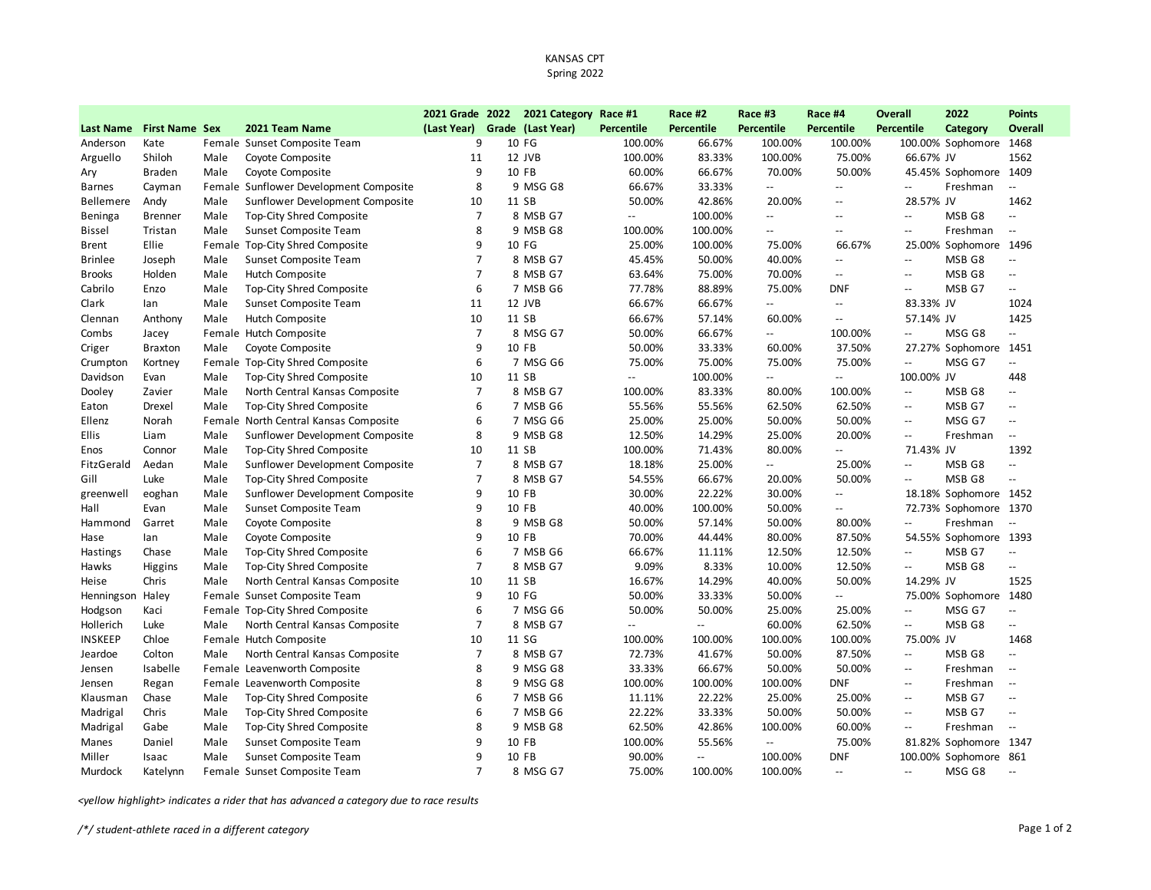## KANSAS CPT Spring 2022

| Grade (Last Year)<br><b>First Name Sex</b><br>2021 Team Name<br>(Last Year)<br><b>Percentile</b><br><b>Percentile</b><br>Percentile<br><b>Percentile</b><br><b>Percentile</b><br>Category<br><b>Overall</b><br><b>Last Name</b><br>9<br>10 FG<br>Anderson<br>Kate<br>Female Sunset Composite Team<br>100.00%<br>66.67%<br>100.00%<br>100.00%<br>100.00% Sophomore 1468<br>12 JVB<br>100.00%<br>83.33%<br>100.00%<br>75.00%<br>1562<br>Arguello<br>Shiloh<br>Male<br>Coyote Composite<br>11<br>66.67% JV<br>9<br>60.00%<br>50.00%<br>Coyote Composite<br>10 FB<br>66.67%<br>70.00%<br>45.45% Sophomore 1409<br>Braden<br>Male<br>Ary<br>Female Sunflower Development Composite<br>8<br>9 MSG G8<br>66.67%<br>33.33%<br>$\overline{\phantom{a}}$<br>$\overline{\phantom{a}}$<br>Freshman<br><b>Barnes</b><br>Cayman<br>$\overline{\phantom{m}}$<br>$\overline{\phantom{a}}$ .<br>Sunflower Development Composite<br>10<br>11 SB<br>50.00%<br>42.86%<br>20.00%<br>28.57% JV<br>1462<br>Bellemere<br>Andy<br>Male<br>$-$<br>Top-City Shred Composite<br>$\overline{7}$<br>8 MSB G7<br>100.00%<br>MSB G8<br>Beninga<br>Male<br>$\overline{\phantom{a}}$<br><b>Brenner</b><br>$\overline{\phantom{a}}$<br>$\overline{\phantom{a}}$<br>$\overline{\phantom{a}}$<br>$\sim$ $\sim$<br>8<br>9 MSB G8<br>100.00%<br>100.00%<br>Freshman<br>Male<br>Sunset Composite Team<br><b>Bissel</b><br>Tristan<br>$\overline{\phantom{a}}$<br>$\overline{\phantom{a}}$<br>$\overline{\phantom{a}}$<br>$-$<br>9<br>Ellie<br>Female Top-City Shred Composite<br>10 FG<br>25.00%<br>100.00%<br>75.00%<br>66.67%<br>25.00% Sophomore 1496<br><b>Brent</b><br>$\overline{7}$<br>8 MSB G7<br>50.00%<br>40.00%<br>MSB G8<br>Male<br>Sunset Composite Team<br>45.45%<br>$\overline{\phantom{a}}$<br><b>Brinlee</b><br>Joseph<br>$\mathord{\hspace{1pt}\text{--}\hspace{1pt}}$<br>$\overline{\phantom{a}}$<br>$\overline{7}$<br>75.00%<br>70.00%<br>MSB <sub>G8</sub><br><b>Brooks</b><br>Male<br>Hutch Composite<br>8 MSB G7<br>63.64%<br>Holden<br>$\overline{a}$<br>$\mathbb{L}$ .<br>$\sim$<br>6<br>7 MSB G6<br>77.78%<br>88.89%<br>75.00%<br><b>DNF</b><br>MSB G7<br>Cabrilo<br>Male<br>Top-City Shred Composite<br>Enzo<br>$\overline{\phantom{a}}$<br>$\mathord{\hspace{1pt}\text{--}\hspace{1pt}}$<br>Clark<br>Male<br>Sunset Composite Team<br>11<br>12 JVB<br>66.67%<br>66.67%<br>83.33% JV<br>1024<br>lan<br>$\overline{\phantom{a}}$<br>$\mathord{\hspace{1pt}\text{--}\hspace{1pt}}$<br>1425<br>Male<br>10<br>11 SB<br>66.67%<br>57.14%<br>60.00%<br>57.14% JV<br>Clennan<br>Anthony<br>Hutch Composite<br>$\overline{\phantom{a}}$<br>$\overline{7}$<br>MSG G8<br>Female Hutch Composite<br>8 MSG G7<br>50.00%<br>66.67%<br>100.00%<br>Ξ.<br>Combs<br>$\overline{\phantom{a}}$<br>$\overline{\phantom{a}}$<br>Jacey<br>Coyote Composite<br>9<br>10 FB<br>50.00%<br>33.33%<br>60.00%<br>37.50%<br>27.27% Sophomore 1451<br>Male<br>Criger<br><b>Braxton</b><br>6<br>Top-City Shred Composite<br>7 MSG G6<br>75.00%<br>75.00%<br>75.00%<br>MSG G7<br>u.<br>Crumpton<br>Female<br>75.00%<br>$\ddotsc$<br>Kortney<br><b>Top-City Shred Composite</b><br>10<br>11 SB<br>100.00%<br>100.00% JV<br>448<br>Davidson<br>Male<br>$\mathbb{L}^{\mathbb{L}}$<br>$\mathord{\hspace{1pt}\text{--}\hspace{1pt}}$<br>Evan<br>$\overline{\phantom{a}}$<br>North Central Kansas Composite<br>$\overline{7}$<br>8 MSB G7<br>100.00%<br>83.33%<br>100.00%<br>MSB G8<br>Dooley<br>Male<br>80.00%<br>$\overline{\phantom{a}}$<br>$\mathbb{L}^{\mathbb{L}}$<br>Zavier<br>7 MSB G6<br>55.56%<br>62.50%<br>MSB G7<br>Male<br>Top-City Shred Composite<br>6<br>55.56%<br>62.50%<br>Eaton<br>Drexel<br>$\mathord{\hspace{1pt}\text{--}\hspace{1pt}}$<br>$\overline{\phantom{a}}$<br>6<br>25.00%<br>MSG G7<br>Female North Central Kansas Composite<br>7 MSG G6<br>25.00%<br>50.00%<br>50.00%<br>Ellenz<br>Norah<br>$\overline{\phantom{a}}$<br>$\overline{\phantom{a}}$<br>8<br>9 MSB G8<br><b>Ellis</b><br>Male<br>Sunflower Development Composite<br>12.50%<br>14.29%<br>25.00%<br>20.00%<br>Freshman<br>Liam<br>$\mathord{\hspace{1pt}\text{--}\hspace{1pt}}$<br>$\overline{\phantom{m}}$<br>Male<br><b>Top-City Shred Composite</b><br>10<br>11 SB<br>100.00%<br>71.43%<br>80.00%<br>$\mathbb{L}^{\mathbb{L}}$<br>71.43% JV<br>1392<br>Enos<br>Connor<br>$\overline{7}$<br>FitzGerald<br>Aedan<br>Sunflower Development Composite<br>8 MSB G7<br>18.18%<br>25.00%<br>25.00%<br>MSB G8<br>Male<br>$\overline{\phantom{a}}$<br>$\mathord{\hspace{1pt}\text{--}\hspace{1pt}}$<br>$\overline{\phantom{a}}$<br>$\overline{7}$<br>Gill<br>Luke<br>8 MSB G7<br>54.55%<br>66.67%<br>20.00%<br>50.00%<br>MSB <sub>G8</sub><br>Male<br>Top-City Shred Composite<br>$\overline{\phantom{a}}$<br>$\mathord{\hspace{1pt}\text{--}\hspace{1pt}}$<br>Sunflower Development Composite<br>9<br>10 FB<br>30.00%<br>22.22%<br>30.00%<br>18.18% Sophomore 1452<br>greenwell<br>eoghan<br>Male<br>$\overline{\phantom{a}}$<br>Hall<br>Sunset Composite Team<br>9<br>10 FB<br>40.00%<br>100.00%<br>50.00%<br>72.73% Sophomore 1370<br>Evan<br>Male<br>$\overline{\phantom{a}}$<br>Coyote Composite<br>8<br>9 MSB G8<br>50.00%<br>57.14%<br>50.00%<br>80.00%<br>Freshman<br>Hammond<br>Garret<br>Male<br>$\overline{\phantom{a}}$<br>$\overline{\phantom{a}}$<br>9<br>10 FB<br>70.00%<br>44.44%<br>80.00%<br>87.50%<br>54.55% Sophomore 1393<br>Male<br>Coyote Composite<br>Hase<br>lan<br>6<br>Hastings<br>Chase<br>Male<br>Top-City Shred Composite<br>7 MSB G6<br>66.67%<br>11.11%<br>12.50%<br>12.50%<br>MSB G7<br>$\overline{\phantom{a}}$<br>$\overline{\phantom{a}}$<br><b>Top-City Shred Composite</b><br>$\overline{7}$<br>8 MSB G7<br>9.09%<br>8.33%<br>10.00%<br>12.50%<br>MSB G8<br>Hawks<br>Male<br>Higgins<br>$\overline{\phantom{a}}$<br>$\overline{\phantom{a}}$<br>North Central Kansas Composite<br>10<br>11 SB<br>40.00%<br>14.29% JV<br>Chris<br>Male<br>16.67%<br>14.29%<br>50.00%<br>1525<br>Heise |
|------------------------------------------------------------------------------------------------------------------------------------------------------------------------------------------------------------------------------------------------------------------------------------------------------------------------------------------------------------------------------------------------------------------------------------------------------------------------------------------------------------------------------------------------------------------------------------------------------------------------------------------------------------------------------------------------------------------------------------------------------------------------------------------------------------------------------------------------------------------------------------------------------------------------------------------------------------------------------------------------------------------------------------------------------------------------------------------------------------------------------------------------------------------------------------------------------------------------------------------------------------------------------------------------------------------------------------------------------------------------------------------------------------------------------------------------------------------------------------------------------------------------------------------------------------------------------------------------------------------------------------------------------------------------------------------------------------------------------------------------------------------------------------------------------------------------------------------------------------------------------------------------------------------------------------------------------------------------------------------------------------------------------------------------------------------------------------------------------------------------------------------------------------------------------------------------------------------------------------------------------------------------------------------------------------------------------------------------------------------------------------------------------------------------------------------------------------------------------------------------------------------------------------------------------------------------------------------------------------------------------------------------------------------------------------------------------------------------------------------------------------------------------------------------------------------------------------------------------------------------------------------------------------------------------------------------------------------------------------------------------------------------------------------------------------------------------------------------------------------------------------------------------------------------------------------------------------------------------------------------------------------------------------------------------------------------------------------------------------------------------------------------------------------------------------------------------------------------------------------------------------------------------------------------------------------------------------------------------------------------------------------------------------------------------------------------------------------------------------------------------------------------------------------------------------------------------------------------------------------------------------------------------------------------------------------------------------------------------------------------------------------------------------------------------------------------------------------------------------------------------------------------------------------------------------------------------------------------------------------------------------------------------------------------------------------------------------------------------------------------------------------------------------------------------------------------------------------------------------------------------------------------------------------------------------------------------------------------------------------------------------------------------------------------------------------------------------------------------------------------------------------------------------------------------------------------------------------------------------------------------------------------------------------------------------------------------------------------------------------------------------------------------------------------------------------------------------------------------------------------------------------------------------------------------------------------------------------------------------------------------------------------------------------------------------------------------------------------------------------------------------------------------------------------------------------------------------------------------------------------------------------------------------------------------------------------------------------------------------------------------------------------------------------------------------------------------------------------------------------------------------------------------------------------------------------------------------------------------------------------------------------------------------------------------------------------------------|
|                                                                                                                                                                                                                                                                                                                                                                                                                                                                                                                                                                                                                                                                                                                                                                                                                                                                                                                                                                                                                                                                                                                                                                                                                                                                                                                                                                                                                                                                                                                                                                                                                                                                                                                                                                                                                                                                                                                                                                                                                                                                                                                                                                                                                                                                                                                                                                                                                                                                                                                                                                                                                                                                                                                                                                                                                                                                                                                                                                                                                                                                                                                                                                                                                                                                                                                                                                                                                                                                                                                                                                                                                                                                                                                                                                                                                                                                                                                                                                                                                                                                                                                                                                                                                                                                                                                                                                                                                                                                                                                                                                                                                                                                                                                                                                                                                                                                                                                                                                                                                                                                                                                                                                                                                                                                                                                                                                                                                                                                                                                                                                                                                                                                                                                                                                                                                                                                                                                                                            |
|                                                                                                                                                                                                                                                                                                                                                                                                                                                                                                                                                                                                                                                                                                                                                                                                                                                                                                                                                                                                                                                                                                                                                                                                                                                                                                                                                                                                                                                                                                                                                                                                                                                                                                                                                                                                                                                                                                                                                                                                                                                                                                                                                                                                                                                                                                                                                                                                                                                                                                                                                                                                                                                                                                                                                                                                                                                                                                                                                                                                                                                                                                                                                                                                                                                                                                                                                                                                                                                                                                                                                                                                                                                                                                                                                                                                                                                                                                                                                                                                                                                                                                                                                                                                                                                                                                                                                                                                                                                                                                                                                                                                                                                                                                                                                                                                                                                                                                                                                                                                                                                                                                                                                                                                                                                                                                                                                                                                                                                                                                                                                                                                                                                                                                                                                                                                                                                                                                                                                            |
|                                                                                                                                                                                                                                                                                                                                                                                                                                                                                                                                                                                                                                                                                                                                                                                                                                                                                                                                                                                                                                                                                                                                                                                                                                                                                                                                                                                                                                                                                                                                                                                                                                                                                                                                                                                                                                                                                                                                                                                                                                                                                                                                                                                                                                                                                                                                                                                                                                                                                                                                                                                                                                                                                                                                                                                                                                                                                                                                                                                                                                                                                                                                                                                                                                                                                                                                                                                                                                                                                                                                                                                                                                                                                                                                                                                                                                                                                                                                                                                                                                                                                                                                                                                                                                                                                                                                                                                                                                                                                                                                                                                                                                                                                                                                                                                                                                                                                                                                                                                                                                                                                                                                                                                                                                                                                                                                                                                                                                                                                                                                                                                                                                                                                                                                                                                                                                                                                                                                                            |
|                                                                                                                                                                                                                                                                                                                                                                                                                                                                                                                                                                                                                                                                                                                                                                                                                                                                                                                                                                                                                                                                                                                                                                                                                                                                                                                                                                                                                                                                                                                                                                                                                                                                                                                                                                                                                                                                                                                                                                                                                                                                                                                                                                                                                                                                                                                                                                                                                                                                                                                                                                                                                                                                                                                                                                                                                                                                                                                                                                                                                                                                                                                                                                                                                                                                                                                                                                                                                                                                                                                                                                                                                                                                                                                                                                                                                                                                                                                                                                                                                                                                                                                                                                                                                                                                                                                                                                                                                                                                                                                                                                                                                                                                                                                                                                                                                                                                                                                                                                                                                                                                                                                                                                                                                                                                                                                                                                                                                                                                                                                                                                                                                                                                                                                                                                                                                                                                                                                                                            |
|                                                                                                                                                                                                                                                                                                                                                                                                                                                                                                                                                                                                                                                                                                                                                                                                                                                                                                                                                                                                                                                                                                                                                                                                                                                                                                                                                                                                                                                                                                                                                                                                                                                                                                                                                                                                                                                                                                                                                                                                                                                                                                                                                                                                                                                                                                                                                                                                                                                                                                                                                                                                                                                                                                                                                                                                                                                                                                                                                                                                                                                                                                                                                                                                                                                                                                                                                                                                                                                                                                                                                                                                                                                                                                                                                                                                                                                                                                                                                                                                                                                                                                                                                                                                                                                                                                                                                                                                                                                                                                                                                                                                                                                                                                                                                                                                                                                                                                                                                                                                                                                                                                                                                                                                                                                                                                                                                                                                                                                                                                                                                                                                                                                                                                                                                                                                                                                                                                                                                            |
|                                                                                                                                                                                                                                                                                                                                                                                                                                                                                                                                                                                                                                                                                                                                                                                                                                                                                                                                                                                                                                                                                                                                                                                                                                                                                                                                                                                                                                                                                                                                                                                                                                                                                                                                                                                                                                                                                                                                                                                                                                                                                                                                                                                                                                                                                                                                                                                                                                                                                                                                                                                                                                                                                                                                                                                                                                                                                                                                                                                                                                                                                                                                                                                                                                                                                                                                                                                                                                                                                                                                                                                                                                                                                                                                                                                                                                                                                                                                                                                                                                                                                                                                                                                                                                                                                                                                                                                                                                                                                                                                                                                                                                                                                                                                                                                                                                                                                                                                                                                                                                                                                                                                                                                                                                                                                                                                                                                                                                                                                                                                                                                                                                                                                                                                                                                                                                                                                                                                                            |
|                                                                                                                                                                                                                                                                                                                                                                                                                                                                                                                                                                                                                                                                                                                                                                                                                                                                                                                                                                                                                                                                                                                                                                                                                                                                                                                                                                                                                                                                                                                                                                                                                                                                                                                                                                                                                                                                                                                                                                                                                                                                                                                                                                                                                                                                                                                                                                                                                                                                                                                                                                                                                                                                                                                                                                                                                                                                                                                                                                                                                                                                                                                                                                                                                                                                                                                                                                                                                                                                                                                                                                                                                                                                                                                                                                                                                                                                                                                                                                                                                                                                                                                                                                                                                                                                                                                                                                                                                                                                                                                                                                                                                                                                                                                                                                                                                                                                                                                                                                                                                                                                                                                                                                                                                                                                                                                                                                                                                                                                                                                                                                                                                                                                                                                                                                                                                                                                                                                                                            |
|                                                                                                                                                                                                                                                                                                                                                                                                                                                                                                                                                                                                                                                                                                                                                                                                                                                                                                                                                                                                                                                                                                                                                                                                                                                                                                                                                                                                                                                                                                                                                                                                                                                                                                                                                                                                                                                                                                                                                                                                                                                                                                                                                                                                                                                                                                                                                                                                                                                                                                                                                                                                                                                                                                                                                                                                                                                                                                                                                                                                                                                                                                                                                                                                                                                                                                                                                                                                                                                                                                                                                                                                                                                                                                                                                                                                                                                                                                                                                                                                                                                                                                                                                                                                                                                                                                                                                                                                                                                                                                                                                                                                                                                                                                                                                                                                                                                                                                                                                                                                                                                                                                                                                                                                                                                                                                                                                                                                                                                                                                                                                                                                                                                                                                                                                                                                                                                                                                                                                            |
|                                                                                                                                                                                                                                                                                                                                                                                                                                                                                                                                                                                                                                                                                                                                                                                                                                                                                                                                                                                                                                                                                                                                                                                                                                                                                                                                                                                                                                                                                                                                                                                                                                                                                                                                                                                                                                                                                                                                                                                                                                                                                                                                                                                                                                                                                                                                                                                                                                                                                                                                                                                                                                                                                                                                                                                                                                                                                                                                                                                                                                                                                                                                                                                                                                                                                                                                                                                                                                                                                                                                                                                                                                                                                                                                                                                                                                                                                                                                                                                                                                                                                                                                                                                                                                                                                                                                                                                                                                                                                                                                                                                                                                                                                                                                                                                                                                                                                                                                                                                                                                                                                                                                                                                                                                                                                                                                                                                                                                                                                                                                                                                                                                                                                                                                                                                                                                                                                                                                                            |
|                                                                                                                                                                                                                                                                                                                                                                                                                                                                                                                                                                                                                                                                                                                                                                                                                                                                                                                                                                                                                                                                                                                                                                                                                                                                                                                                                                                                                                                                                                                                                                                                                                                                                                                                                                                                                                                                                                                                                                                                                                                                                                                                                                                                                                                                                                                                                                                                                                                                                                                                                                                                                                                                                                                                                                                                                                                                                                                                                                                                                                                                                                                                                                                                                                                                                                                                                                                                                                                                                                                                                                                                                                                                                                                                                                                                                                                                                                                                                                                                                                                                                                                                                                                                                                                                                                                                                                                                                                                                                                                                                                                                                                                                                                                                                                                                                                                                                                                                                                                                                                                                                                                                                                                                                                                                                                                                                                                                                                                                                                                                                                                                                                                                                                                                                                                                                                                                                                                                                            |
|                                                                                                                                                                                                                                                                                                                                                                                                                                                                                                                                                                                                                                                                                                                                                                                                                                                                                                                                                                                                                                                                                                                                                                                                                                                                                                                                                                                                                                                                                                                                                                                                                                                                                                                                                                                                                                                                                                                                                                                                                                                                                                                                                                                                                                                                                                                                                                                                                                                                                                                                                                                                                                                                                                                                                                                                                                                                                                                                                                                                                                                                                                                                                                                                                                                                                                                                                                                                                                                                                                                                                                                                                                                                                                                                                                                                                                                                                                                                                                                                                                                                                                                                                                                                                                                                                                                                                                                                                                                                                                                                                                                                                                                                                                                                                                                                                                                                                                                                                                                                                                                                                                                                                                                                                                                                                                                                                                                                                                                                                                                                                                                                                                                                                                                                                                                                                                                                                                                                                            |
|                                                                                                                                                                                                                                                                                                                                                                                                                                                                                                                                                                                                                                                                                                                                                                                                                                                                                                                                                                                                                                                                                                                                                                                                                                                                                                                                                                                                                                                                                                                                                                                                                                                                                                                                                                                                                                                                                                                                                                                                                                                                                                                                                                                                                                                                                                                                                                                                                                                                                                                                                                                                                                                                                                                                                                                                                                                                                                                                                                                                                                                                                                                                                                                                                                                                                                                                                                                                                                                                                                                                                                                                                                                                                                                                                                                                                                                                                                                                                                                                                                                                                                                                                                                                                                                                                                                                                                                                                                                                                                                                                                                                                                                                                                                                                                                                                                                                                                                                                                                                                                                                                                                                                                                                                                                                                                                                                                                                                                                                                                                                                                                                                                                                                                                                                                                                                                                                                                                                                            |
|                                                                                                                                                                                                                                                                                                                                                                                                                                                                                                                                                                                                                                                                                                                                                                                                                                                                                                                                                                                                                                                                                                                                                                                                                                                                                                                                                                                                                                                                                                                                                                                                                                                                                                                                                                                                                                                                                                                                                                                                                                                                                                                                                                                                                                                                                                                                                                                                                                                                                                                                                                                                                                                                                                                                                                                                                                                                                                                                                                                                                                                                                                                                                                                                                                                                                                                                                                                                                                                                                                                                                                                                                                                                                                                                                                                                                                                                                                                                                                                                                                                                                                                                                                                                                                                                                                                                                                                                                                                                                                                                                                                                                                                                                                                                                                                                                                                                                                                                                                                                                                                                                                                                                                                                                                                                                                                                                                                                                                                                                                                                                                                                                                                                                                                                                                                                                                                                                                                                                            |
|                                                                                                                                                                                                                                                                                                                                                                                                                                                                                                                                                                                                                                                                                                                                                                                                                                                                                                                                                                                                                                                                                                                                                                                                                                                                                                                                                                                                                                                                                                                                                                                                                                                                                                                                                                                                                                                                                                                                                                                                                                                                                                                                                                                                                                                                                                                                                                                                                                                                                                                                                                                                                                                                                                                                                                                                                                                                                                                                                                                                                                                                                                                                                                                                                                                                                                                                                                                                                                                                                                                                                                                                                                                                                                                                                                                                                                                                                                                                                                                                                                                                                                                                                                                                                                                                                                                                                                                                                                                                                                                                                                                                                                                                                                                                                                                                                                                                                                                                                                                                                                                                                                                                                                                                                                                                                                                                                                                                                                                                                                                                                                                                                                                                                                                                                                                                                                                                                                                                                            |
|                                                                                                                                                                                                                                                                                                                                                                                                                                                                                                                                                                                                                                                                                                                                                                                                                                                                                                                                                                                                                                                                                                                                                                                                                                                                                                                                                                                                                                                                                                                                                                                                                                                                                                                                                                                                                                                                                                                                                                                                                                                                                                                                                                                                                                                                                                                                                                                                                                                                                                                                                                                                                                                                                                                                                                                                                                                                                                                                                                                                                                                                                                                                                                                                                                                                                                                                                                                                                                                                                                                                                                                                                                                                                                                                                                                                                                                                                                                                                                                                                                                                                                                                                                                                                                                                                                                                                                                                                                                                                                                                                                                                                                                                                                                                                                                                                                                                                                                                                                                                                                                                                                                                                                                                                                                                                                                                                                                                                                                                                                                                                                                                                                                                                                                                                                                                                                                                                                                                                            |
|                                                                                                                                                                                                                                                                                                                                                                                                                                                                                                                                                                                                                                                                                                                                                                                                                                                                                                                                                                                                                                                                                                                                                                                                                                                                                                                                                                                                                                                                                                                                                                                                                                                                                                                                                                                                                                                                                                                                                                                                                                                                                                                                                                                                                                                                                                                                                                                                                                                                                                                                                                                                                                                                                                                                                                                                                                                                                                                                                                                                                                                                                                                                                                                                                                                                                                                                                                                                                                                                                                                                                                                                                                                                                                                                                                                                                                                                                                                                                                                                                                                                                                                                                                                                                                                                                                                                                                                                                                                                                                                                                                                                                                                                                                                                                                                                                                                                                                                                                                                                                                                                                                                                                                                                                                                                                                                                                                                                                                                                                                                                                                                                                                                                                                                                                                                                                                                                                                                                                            |
|                                                                                                                                                                                                                                                                                                                                                                                                                                                                                                                                                                                                                                                                                                                                                                                                                                                                                                                                                                                                                                                                                                                                                                                                                                                                                                                                                                                                                                                                                                                                                                                                                                                                                                                                                                                                                                                                                                                                                                                                                                                                                                                                                                                                                                                                                                                                                                                                                                                                                                                                                                                                                                                                                                                                                                                                                                                                                                                                                                                                                                                                                                                                                                                                                                                                                                                                                                                                                                                                                                                                                                                                                                                                                                                                                                                                                                                                                                                                                                                                                                                                                                                                                                                                                                                                                                                                                                                                                                                                                                                                                                                                                                                                                                                                                                                                                                                                                                                                                                                                                                                                                                                                                                                                                                                                                                                                                                                                                                                                                                                                                                                                                                                                                                                                                                                                                                                                                                                                                            |
|                                                                                                                                                                                                                                                                                                                                                                                                                                                                                                                                                                                                                                                                                                                                                                                                                                                                                                                                                                                                                                                                                                                                                                                                                                                                                                                                                                                                                                                                                                                                                                                                                                                                                                                                                                                                                                                                                                                                                                                                                                                                                                                                                                                                                                                                                                                                                                                                                                                                                                                                                                                                                                                                                                                                                                                                                                                                                                                                                                                                                                                                                                                                                                                                                                                                                                                                                                                                                                                                                                                                                                                                                                                                                                                                                                                                                                                                                                                                                                                                                                                                                                                                                                                                                                                                                                                                                                                                                                                                                                                                                                                                                                                                                                                                                                                                                                                                                                                                                                                                                                                                                                                                                                                                                                                                                                                                                                                                                                                                                                                                                                                                                                                                                                                                                                                                                                                                                                                                                            |
|                                                                                                                                                                                                                                                                                                                                                                                                                                                                                                                                                                                                                                                                                                                                                                                                                                                                                                                                                                                                                                                                                                                                                                                                                                                                                                                                                                                                                                                                                                                                                                                                                                                                                                                                                                                                                                                                                                                                                                                                                                                                                                                                                                                                                                                                                                                                                                                                                                                                                                                                                                                                                                                                                                                                                                                                                                                                                                                                                                                                                                                                                                                                                                                                                                                                                                                                                                                                                                                                                                                                                                                                                                                                                                                                                                                                                                                                                                                                                                                                                                                                                                                                                                                                                                                                                                                                                                                                                                                                                                                                                                                                                                                                                                                                                                                                                                                                                                                                                                                                                                                                                                                                                                                                                                                                                                                                                                                                                                                                                                                                                                                                                                                                                                                                                                                                                                                                                                                                                            |
|                                                                                                                                                                                                                                                                                                                                                                                                                                                                                                                                                                                                                                                                                                                                                                                                                                                                                                                                                                                                                                                                                                                                                                                                                                                                                                                                                                                                                                                                                                                                                                                                                                                                                                                                                                                                                                                                                                                                                                                                                                                                                                                                                                                                                                                                                                                                                                                                                                                                                                                                                                                                                                                                                                                                                                                                                                                                                                                                                                                                                                                                                                                                                                                                                                                                                                                                                                                                                                                                                                                                                                                                                                                                                                                                                                                                                                                                                                                                                                                                                                                                                                                                                                                                                                                                                                                                                                                                                                                                                                                                                                                                                                                                                                                                                                                                                                                                                                                                                                                                                                                                                                                                                                                                                                                                                                                                                                                                                                                                                                                                                                                                                                                                                                                                                                                                                                                                                                                                                            |
|                                                                                                                                                                                                                                                                                                                                                                                                                                                                                                                                                                                                                                                                                                                                                                                                                                                                                                                                                                                                                                                                                                                                                                                                                                                                                                                                                                                                                                                                                                                                                                                                                                                                                                                                                                                                                                                                                                                                                                                                                                                                                                                                                                                                                                                                                                                                                                                                                                                                                                                                                                                                                                                                                                                                                                                                                                                                                                                                                                                                                                                                                                                                                                                                                                                                                                                                                                                                                                                                                                                                                                                                                                                                                                                                                                                                                                                                                                                                                                                                                                                                                                                                                                                                                                                                                                                                                                                                                                                                                                                                                                                                                                                                                                                                                                                                                                                                                                                                                                                                                                                                                                                                                                                                                                                                                                                                                                                                                                                                                                                                                                                                                                                                                                                                                                                                                                                                                                                                                            |
|                                                                                                                                                                                                                                                                                                                                                                                                                                                                                                                                                                                                                                                                                                                                                                                                                                                                                                                                                                                                                                                                                                                                                                                                                                                                                                                                                                                                                                                                                                                                                                                                                                                                                                                                                                                                                                                                                                                                                                                                                                                                                                                                                                                                                                                                                                                                                                                                                                                                                                                                                                                                                                                                                                                                                                                                                                                                                                                                                                                                                                                                                                                                                                                                                                                                                                                                                                                                                                                                                                                                                                                                                                                                                                                                                                                                                                                                                                                                                                                                                                                                                                                                                                                                                                                                                                                                                                                                                                                                                                                                                                                                                                                                                                                                                                                                                                                                                                                                                                                                                                                                                                                                                                                                                                                                                                                                                                                                                                                                                                                                                                                                                                                                                                                                                                                                                                                                                                                                                            |
|                                                                                                                                                                                                                                                                                                                                                                                                                                                                                                                                                                                                                                                                                                                                                                                                                                                                                                                                                                                                                                                                                                                                                                                                                                                                                                                                                                                                                                                                                                                                                                                                                                                                                                                                                                                                                                                                                                                                                                                                                                                                                                                                                                                                                                                                                                                                                                                                                                                                                                                                                                                                                                                                                                                                                                                                                                                                                                                                                                                                                                                                                                                                                                                                                                                                                                                                                                                                                                                                                                                                                                                                                                                                                                                                                                                                                                                                                                                                                                                                                                                                                                                                                                                                                                                                                                                                                                                                                                                                                                                                                                                                                                                                                                                                                                                                                                                                                                                                                                                                                                                                                                                                                                                                                                                                                                                                                                                                                                                                                                                                                                                                                                                                                                                                                                                                                                                                                                                                                            |
|                                                                                                                                                                                                                                                                                                                                                                                                                                                                                                                                                                                                                                                                                                                                                                                                                                                                                                                                                                                                                                                                                                                                                                                                                                                                                                                                                                                                                                                                                                                                                                                                                                                                                                                                                                                                                                                                                                                                                                                                                                                                                                                                                                                                                                                                                                                                                                                                                                                                                                                                                                                                                                                                                                                                                                                                                                                                                                                                                                                                                                                                                                                                                                                                                                                                                                                                                                                                                                                                                                                                                                                                                                                                                                                                                                                                                                                                                                                                                                                                                                                                                                                                                                                                                                                                                                                                                                                                                                                                                                                                                                                                                                                                                                                                                                                                                                                                                                                                                                                                                                                                                                                                                                                                                                                                                                                                                                                                                                                                                                                                                                                                                                                                                                                                                                                                                                                                                                                                                            |
|                                                                                                                                                                                                                                                                                                                                                                                                                                                                                                                                                                                                                                                                                                                                                                                                                                                                                                                                                                                                                                                                                                                                                                                                                                                                                                                                                                                                                                                                                                                                                                                                                                                                                                                                                                                                                                                                                                                                                                                                                                                                                                                                                                                                                                                                                                                                                                                                                                                                                                                                                                                                                                                                                                                                                                                                                                                                                                                                                                                                                                                                                                                                                                                                                                                                                                                                                                                                                                                                                                                                                                                                                                                                                                                                                                                                                                                                                                                                                                                                                                                                                                                                                                                                                                                                                                                                                                                                                                                                                                                                                                                                                                                                                                                                                                                                                                                                                                                                                                                                                                                                                                                                                                                                                                                                                                                                                                                                                                                                                                                                                                                                                                                                                                                                                                                                                                                                                                                                                            |
|                                                                                                                                                                                                                                                                                                                                                                                                                                                                                                                                                                                                                                                                                                                                                                                                                                                                                                                                                                                                                                                                                                                                                                                                                                                                                                                                                                                                                                                                                                                                                                                                                                                                                                                                                                                                                                                                                                                                                                                                                                                                                                                                                                                                                                                                                                                                                                                                                                                                                                                                                                                                                                                                                                                                                                                                                                                                                                                                                                                                                                                                                                                                                                                                                                                                                                                                                                                                                                                                                                                                                                                                                                                                                                                                                                                                                                                                                                                                                                                                                                                                                                                                                                                                                                                                                                                                                                                                                                                                                                                                                                                                                                                                                                                                                                                                                                                                                                                                                                                                                                                                                                                                                                                                                                                                                                                                                                                                                                                                                                                                                                                                                                                                                                                                                                                                                                                                                                                                                            |
|                                                                                                                                                                                                                                                                                                                                                                                                                                                                                                                                                                                                                                                                                                                                                                                                                                                                                                                                                                                                                                                                                                                                                                                                                                                                                                                                                                                                                                                                                                                                                                                                                                                                                                                                                                                                                                                                                                                                                                                                                                                                                                                                                                                                                                                                                                                                                                                                                                                                                                                                                                                                                                                                                                                                                                                                                                                                                                                                                                                                                                                                                                                                                                                                                                                                                                                                                                                                                                                                                                                                                                                                                                                                                                                                                                                                                                                                                                                                                                                                                                                                                                                                                                                                                                                                                                                                                                                                                                                                                                                                                                                                                                                                                                                                                                                                                                                                                                                                                                                                                                                                                                                                                                                                                                                                                                                                                                                                                                                                                                                                                                                                                                                                                                                                                                                                                                                                                                                                                            |
|                                                                                                                                                                                                                                                                                                                                                                                                                                                                                                                                                                                                                                                                                                                                                                                                                                                                                                                                                                                                                                                                                                                                                                                                                                                                                                                                                                                                                                                                                                                                                                                                                                                                                                                                                                                                                                                                                                                                                                                                                                                                                                                                                                                                                                                                                                                                                                                                                                                                                                                                                                                                                                                                                                                                                                                                                                                                                                                                                                                                                                                                                                                                                                                                                                                                                                                                                                                                                                                                                                                                                                                                                                                                                                                                                                                                                                                                                                                                                                                                                                                                                                                                                                                                                                                                                                                                                                                                                                                                                                                                                                                                                                                                                                                                                                                                                                                                                                                                                                                                                                                                                                                                                                                                                                                                                                                                                                                                                                                                                                                                                                                                                                                                                                                                                                                                                                                                                                                                                            |
|                                                                                                                                                                                                                                                                                                                                                                                                                                                                                                                                                                                                                                                                                                                                                                                                                                                                                                                                                                                                                                                                                                                                                                                                                                                                                                                                                                                                                                                                                                                                                                                                                                                                                                                                                                                                                                                                                                                                                                                                                                                                                                                                                                                                                                                                                                                                                                                                                                                                                                                                                                                                                                                                                                                                                                                                                                                                                                                                                                                                                                                                                                                                                                                                                                                                                                                                                                                                                                                                                                                                                                                                                                                                                                                                                                                                                                                                                                                                                                                                                                                                                                                                                                                                                                                                                                                                                                                                                                                                                                                                                                                                                                                                                                                                                                                                                                                                                                                                                                                                                                                                                                                                                                                                                                                                                                                                                                                                                                                                                                                                                                                                                                                                                                                                                                                                                                                                                                                                                            |
|                                                                                                                                                                                                                                                                                                                                                                                                                                                                                                                                                                                                                                                                                                                                                                                                                                                                                                                                                                                                                                                                                                                                                                                                                                                                                                                                                                                                                                                                                                                                                                                                                                                                                                                                                                                                                                                                                                                                                                                                                                                                                                                                                                                                                                                                                                                                                                                                                                                                                                                                                                                                                                                                                                                                                                                                                                                                                                                                                                                                                                                                                                                                                                                                                                                                                                                                                                                                                                                                                                                                                                                                                                                                                                                                                                                                                                                                                                                                                                                                                                                                                                                                                                                                                                                                                                                                                                                                                                                                                                                                                                                                                                                                                                                                                                                                                                                                                                                                                                                                                                                                                                                                                                                                                                                                                                                                                                                                                                                                                                                                                                                                                                                                                                                                                                                                                                                                                                                                                            |
|                                                                                                                                                                                                                                                                                                                                                                                                                                                                                                                                                                                                                                                                                                                                                                                                                                                                                                                                                                                                                                                                                                                                                                                                                                                                                                                                                                                                                                                                                                                                                                                                                                                                                                                                                                                                                                                                                                                                                                                                                                                                                                                                                                                                                                                                                                                                                                                                                                                                                                                                                                                                                                                                                                                                                                                                                                                                                                                                                                                                                                                                                                                                                                                                                                                                                                                                                                                                                                                                                                                                                                                                                                                                                                                                                                                                                                                                                                                                                                                                                                                                                                                                                                                                                                                                                                                                                                                                                                                                                                                                                                                                                                                                                                                                                                                                                                                                                                                                                                                                                                                                                                                                                                                                                                                                                                                                                                                                                                                                                                                                                                                                                                                                                                                                                                                                                                                                                                                                                            |
|                                                                                                                                                                                                                                                                                                                                                                                                                                                                                                                                                                                                                                                                                                                                                                                                                                                                                                                                                                                                                                                                                                                                                                                                                                                                                                                                                                                                                                                                                                                                                                                                                                                                                                                                                                                                                                                                                                                                                                                                                                                                                                                                                                                                                                                                                                                                                                                                                                                                                                                                                                                                                                                                                                                                                                                                                                                                                                                                                                                                                                                                                                                                                                                                                                                                                                                                                                                                                                                                                                                                                                                                                                                                                                                                                                                                                                                                                                                                                                                                                                                                                                                                                                                                                                                                                                                                                                                                                                                                                                                                                                                                                                                                                                                                                                                                                                                                                                                                                                                                                                                                                                                                                                                                                                                                                                                                                                                                                                                                                                                                                                                                                                                                                                                                                                                                                                                                                                                                                            |
| 9<br>10 FG<br>50.00%<br>33.33%<br>50.00%<br>1480<br>Female<br>Sunset Composite Team<br>75.00% Sophomore<br>Henningson Haley<br>$\mathord{\hspace{1pt}\text{--}\hspace{1pt}}$                                                                                                                                                                                                                                                                                                                                                                                                                                                                                                                                                                                                                                                                                                                                                                                                                                                                                                                                                                                                                                                                                                                                                                                                                                                                                                                                                                                                                                                                                                                                                                                                                                                                                                                                                                                                                                                                                                                                                                                                                                                                                                                                                                                                                                                                                                                                                                                                                                                                                                                                                                                                                                                                                                                                                                                                                                                                                                                                                                                                                                                                                                                                                                                                                                                                                                                                                                                                                                                                                                                                                                                                                                                                                                                                                                                                                                                                                                                                                                                                                                                                                                                                                                                                                                                                                                                                                                                                                                                                                                                                                                                                                                                                                                                                                                                                                                                                                                                                                                                                                                                                                                                                                                                                                                                                                                                                                                                                                                                                                                                                                                                                                                                                                                                                                                               |
| 6<br>Top-City Shred Composite<br>7 MSG G6<br>50.00%<br>50.00%<br>25.00%<br>25.00%<br>MSG G7<br>Hodgson<br>Kaci<br>Female<br>$\overline{\phantom{a}}$<br>$\overline{\phantom{a}}$                                                                                                                                                                                                                                                                                                                                                                                                                                                                                                                                                                                                                                                                                                                                                                                                                                                                                                                                                                                                                                                                                                                                                                                                                                                                                                                                                                                                                                                                                                                                                                                                                                                                                                                                                                                                                                                                                                                                                                                                                                                                                                                                                                                                                                                                                                                                                                                                                                                                                                                                                                                                                                                                                                                                                                                                                                                                                                                                                                                                                                                                                                                                                                                                                                                                                                                                                                                                                                                                                                                                                                                                                                                                                                                                                                                                                                                                                                                                                                                                                                                                                                                                                                                                                                                                                                                                                                                                                                                                                                                                                                                                                                                                                                                                                                                                                                                                                                                                                                                                                                                                                                                                                                                                                                                                                                                                                                                                                                                                                                                                                                                                                                                                                                                                                                           |
| $\overline{7}$<br>Hollerich<br>North Central Kansas Composite<br>8 MSB G7<br>60.00%<br>62.50%<br>MSB <sub>G8</sub><br>Luke<br>Male<br>$-$<br>$\overline{\phantom{a}}$<br>$\overline{\phantom{a}}$<br>$\overline{\phantom{a}}$                                                                                                                                                                                                                                                                                                                                                                                                                                                                                                                                                                                                                                                                                                                                                                                                                                                                                                                                                                                                                                                                                                                                                                                                                                                                                                                                                                                                                                                                                                                                                                                                                                                                                                                                                                                                                                                                                                                                                                                                                                                                                                                                                                                                                                                                                                                                                                                                                                                                                                                                                                                                                                                                                                                                                                                                                                                                                                                                                                                                                                                                                                                                                                                                                                                                                                                                                                                                                                                                                                                                                                                                                                                                                                                                                                                                                                                                                                                                                                                                                                                                                                                                                                                                                                                                                                                                                                                                                                                                                                                                                                                                                                                                                                                                                                                                                                                                                                                                                                                                                                                                                                                                                                                                                                                                                                                                                                                                                                                                                                                                                                                                                                                                                                                              |
| <b>INSKEEP</b><br>Chloe<br>10<br>11 SG<br>100.00%<br>100.00%<br>100.00%<br>100.00%<br>75.00% JV<br>Female Hutch Composite<br>1468                                                                                                                                                                                                                                                                                                                                                                                                                                                                                                                                                                                                                                                                                                                                                                                                                                                                                                                                                                                                                                                                                                                                                                                                                                                                                                                                                                                                                                                                                                                                                                                                                                                                                                                                                                                                                                                                                                                                                                                                                                                                                                                                                                                                                                                                                                                                                                                                                                                                                                                                                                                                                                                                                                                                                                                                                                                                                                                                                                                                                                                                                                                                                                                                                                                                                                                                                                                                                                                                                                                                                                                                                                                                                                                                                                                                                                                                                                                                                                                                                                                                                                                                                                                                                                                                                                                                                                                                                                                                                                                                                                                                                                                                                                                                                                                                                                                                                                                                                                                                                                                                                                                                                                                                                                                                                                                                                                                                                                                                                                                                                                                                                                                                                                                                                                                                                          |
| Jeardoe<br>Colton<br>North Central Kansas Composite<br>$\overline{7}$<br>8 MSB G7<br>72.73%<br>41.67%<br>50.00%<br>87.50%<br>MSB <sub>G8</sub><br>Male<br>$\overline{\phantom{m}}$<br>$\overline{\phantom{a}}$                                                                                                                                                                                                                                                                                                                                                                                                                                                                                                                                                                                                                                                                                                                                                                                                                                                                                                                                                                                                                                                                                                                                                                                                                                                                                                                                                                                                                                                                                                                                                                                                                                                                                                                                                                                                                                                                                                                                                                                                                                                                                                                                                                                                                                                                                                                                                                                                                                                                                                                                                                                                                                                                                                                                                                                                                                                                                                                                                                                                                                                                                                                                                                                                                                                                                                                                                                                                                                                                                                                                                                                                                                                                                                                                                                                                                                                                                                                                                                                                                                                                                                                                                                                                                                                                                                                                                                                                                                                                                                                                                                                                                                                                                                                                                                                                                                                                                                                                                                                                                                                                                                                                                                                                                                                                                                                                                                                                                                                                                                                                                                                                                                                                                                                                             |
| 8<br>33.33%<br>66.67%<br>50.00%<br>50.00%<br>Freshman<br>Jensen<br>Isabelle<br>Female Leavenworth Composite<br>9 MSG G8<br>$\overline{\phantom{a}}$<br>$\overline{\phantom{a}}$                                                                                                                                                                                                                                                                                                                                                                                                                                                                                                                                                                                                                                                                                                                                                                                                                                                                                                                                                                                                                                                                                                                                                                                                                                                                                                                                                                                                                                                                                                                                                                                                                                                                                                                                                                                                                                                                                                                                                                                                                                                                                                                                                                                                                                                                                                                                                                                                                                                                                                                                                                                                                                                                                                                                                                                                                                                                                                                                                                                                                                                                                                                                                                                                                                                                                                                                                                                                                                                                                                                                                                                                                                                                                                                                                                                                                                                                                                                                                                                                                                                                                                                                                                                                                                                                                                                                                                                                                                                                                                                                                                                                                                                                                                                                                                                                                                                                                                                                                                                                                                                                                                                                                                                                                                                                                                                                                                                                                                                                                                                                                                                                                                                                                                                                                                            |
| 8<br>100.00%<br>Female Leavenworth Composite<br>9 MSG G8<br>100.00%<br>100.00%<br><b>DNF</b><br>Freshman<br>Regan<br>Jensen<br>$\overline{\phantom{a}}$<br>$\overline{\phantom{a}}$                                                                                                                                                                                                                                                                                                                                                                                                                                                                                                                                                                                                                                                                                                                                                                                                                                                                                                                                                                                                                                                                                                                                                                                                                                                                                                                                                                                                                                                                                                                                                                                                                                                                                                                                                                                                                                                                                                                                                                                                                                                                                                                                                                                                                                                                                                                                                                                                                                                                                                                                                                                                                                                                                                                                                                                                                                                                                                                                                                                                                                                                                                                                                                                                                                                                                                                                                                                                                                                                                                                                                                                                                                                                                                                                                                                                                                                                                                                                                                                                                                                                                                                                                                                                                                                                                                                                                                                                                                                                                                                                                                                                                                                                                                                                                                                                                                                                                                                                                                                                                                                                                                                                                                                                                                                                                                                                                                                                                                                                                                                                                                                                                                                                                                                                                                        |
| 6<br>22.22%<br>25.00%<br>25.00%<br>MSB G7<br>Chase<br>Male<br>Top-City Shred Composite<br>7 MSB G6<br>11.11%<br>Klausman<br>$\overline{\phantom{a}}$<br>$\overline{\phantom{a}}$                                                                                                                                                                                                                                                                                                                                                                                                                                                                                                                                                                                                                                                                                                                                                                                                                                                                                                                                                                                                                                                                                                                                                                                                                                                                                                                                                                                                                                                                                                                                                                                                                                                                                                                                                                                                                                                                                                                                                                                                                                                                                                                                                                                                                                                                                                                                                                                                                                                                                                                                                                                                                                                                                                                                                                                                                                                                                                                                                                                                                                                                                                                                                                                                                                                                                                                                                                                                                                                                                                                                                                                                                                                                                                                                                                                                                                                                                                                                                                                                                                                                                                                                                                                                                                                                                                                                                                                                                                                                                                                                                                                                                                                                                                                                                                                                                                                                                                                                                                                                                                                                                                                                                                                                                                                                                                                                                                                                                                                                                                                                                                                                                                                                                                                                                                           |
| 7 MSB G6<br>22.22%<br>33.33%<br>50.00%<br>50.00%<br>MSB G7<br>Madrigal<br>Chris<br>Male<br>Top-City Shred Composite<br>6<br>$\overline{\phantom{a}}$<br>$\overline{\phantom{a}}$                                                                                                                                                                                                                                                                                                                                                                                                                                                                                                                                                                                                                                                                                                                                                                                                                                                                                                                                                                                                                                                                                                                                                                                                                                                                                                                                                                                                                                                                                                                                                                                                                                                                                                                                                                                                                                                                                                                                                                                                                                                                                                                                                                                                                                                                                                                                                                                                                                                                                                                                                                                                                                                                                                                                                                                                                                                                                                                                                                                                                                                                                                                                                                                                                                                                                                                                                                                                                                                                                                                                                                                                                                                                                                                                                                                                                                                                                                                                                                                                                                                                                                                                                                                                                                                                                                                                                                                                                                                                                                                                                                                                                                                                                                                                                                                                                                                                                                                                                                                                                                                                                                                                                                                                                                                                                                                                                                                                                                                                                                                                                                                                                                                                                                                                                                           |
| 8<br>62.50%<br>42.86%<br>60.00%<br>Madrigal<br>Gabe<br>Male<br>Top-City Shred Composite<br>9 MSB G8<br>100.00%<br>Freshman<br>$\overline{\phantom{a}}$<br>$\overline{\phantom{a}}$                                                                                                                                                                                                                                                                                                                                                                                                                                                                                                                                                                                                                                                                                                                                                                                                                                                                                                                                                                                                                                                                                                                                                                                                                                                                                                                                                                                                                                                                                                                                                                                                                                                                                                                                                                                                                                                                                                                                                                                                                                                                                                                                                                                                                                                                                                                                                                                                                                                                                                                                                                                                                                                                                                                                                                                                                                                                                                                                                                                                                                                                                                                                                                                                                                                                                                                                                                                                                                                                                                                                                                                                                                                                                                                                                                                                                                                                                                                                                                                                                                                                                                                                                                                                                                                                                                                                                                                                                                                                                                                                                                                                                                                                                                                                                                                                                                                                                                                                                                                                                                                                                                                                                                                                                                                                                                                                                                                                                                                                                                                                                                                                                                                                                                                                                                         |
| 9<br>100.00%<br>55.56%<br>75.00%<br>Daniel<br>Male<br>Sunset Composite Team<br>10 FB<br>81.82% Sophomore 1347<br>Manes<br>$\overline{\phantom{a}}$                                                                                                                                                                                                                                                                                                                                                                                                                                                                                                                                                                                                                                                                                                                                                                                                                                                                                                                                                                                                                                                                                                                                                                                                                                                                                                                                                                                                                                                                                                                                                                                                                                                                                                                                                                                                                                                                                                                                                                                                                                                                                                                                                                                                                                                                                                                                                                                                                                                                                                                                                                                                                                                                                                                                                                                                                                                                                                                                                                                                                                                                                                                                                                                                                                                                                                                                                                                                                                                                                                                                                                                                                                                                                                                                                                                                                                                                                                                                                                                                                                                                                                                                                                                                                                                                                                                                                                                                                                                                                                                                                                                                                                                                                                                                                                                                                                                                                                                                                                                                                                                                                                                                                                                                                                                                                                                                                                                                                                                                                                                                                                                                                                                                                                                                                                                                         |
| 9<br>10 FB<br>90.00%<br>100.00%<br>100.00% Sophomore 861<br>Miller<br>Male<br>Sunset Composite Team<br><b>DNF</b><br>Isaac<br>$\overline{\phantom{a}}$                                                                                                                                                                                                                                                                                                                                                                                                                                                                                                                                                                                                                                                                                                                                                                                                                                                                                                                                                                                                                                                                                                                                                                                                                                                                                                                                                                                                                                                                                                                                                                                                                                                                                                                                                                                                                                                                                                                                                                                                                                                                                                                                                                                                                                                                                                                                                                                                                                                                                                                                                                                                                                                                                                                                                                                                                                                                                                                                                                                                                                                                                                                                                                                                                                                                                                                                                                                                                                                                                                                                                                                                                                                                                                                                                                                                                                                                                                                                                                                                                                                                                                                                                                                                                                                                                                                                                                                                                                                                                                                                                                                                                                                                                                                                                                                                                                                                                                                                                                                                                                                                                                                                                                                                                                                                                                                                                                                                                                                                                                                                                                                                                                                                                                                                                                                                     |
| $\overline{7}$<br>75.00%<br>100.00%<br>MSG G8<br>Murdock<br>Female Sunset Composite Team<br>8 MSG G7<br>100.00%<br>Katelynn<br>$\overline{a}$<br>$\mathbb{L}$ .<br>$-$                                                                                                                                                                                                                                                                                                                                                                                                                                                                                                                                                                                                                                                                                                                                                                                                                                                                                                                                                                                                                                                                                                                                                                                                                                                                                                                                                                                                                                                                                                                                                                                                                                                                                                                                                                                                                                                                                                                                                                                                                                                                                                                                                                                                                                                                                                                                                                                                                                                                                                                                                                                                                                                                                                                                                                                                                                                                                                                                                                                                                                                                                                                                                                                                                                                                                                                                                                                                                                                                                                                                                                                                                                                                                                                                                                                                                                                                                                                                                                                                                                                                                                                                                                                                                                                                                                                                                                                                                                                                                                                                                                                                                                                                                                                                                                                                                                                                                                                                                                                                                                                                                                                                                                                                                                                                                                                                                                                                                                                                                                                                                                                                                                                                                                                                                                                     |

*<yellow highlight> indicates a rider that has advanced a category due to race results*